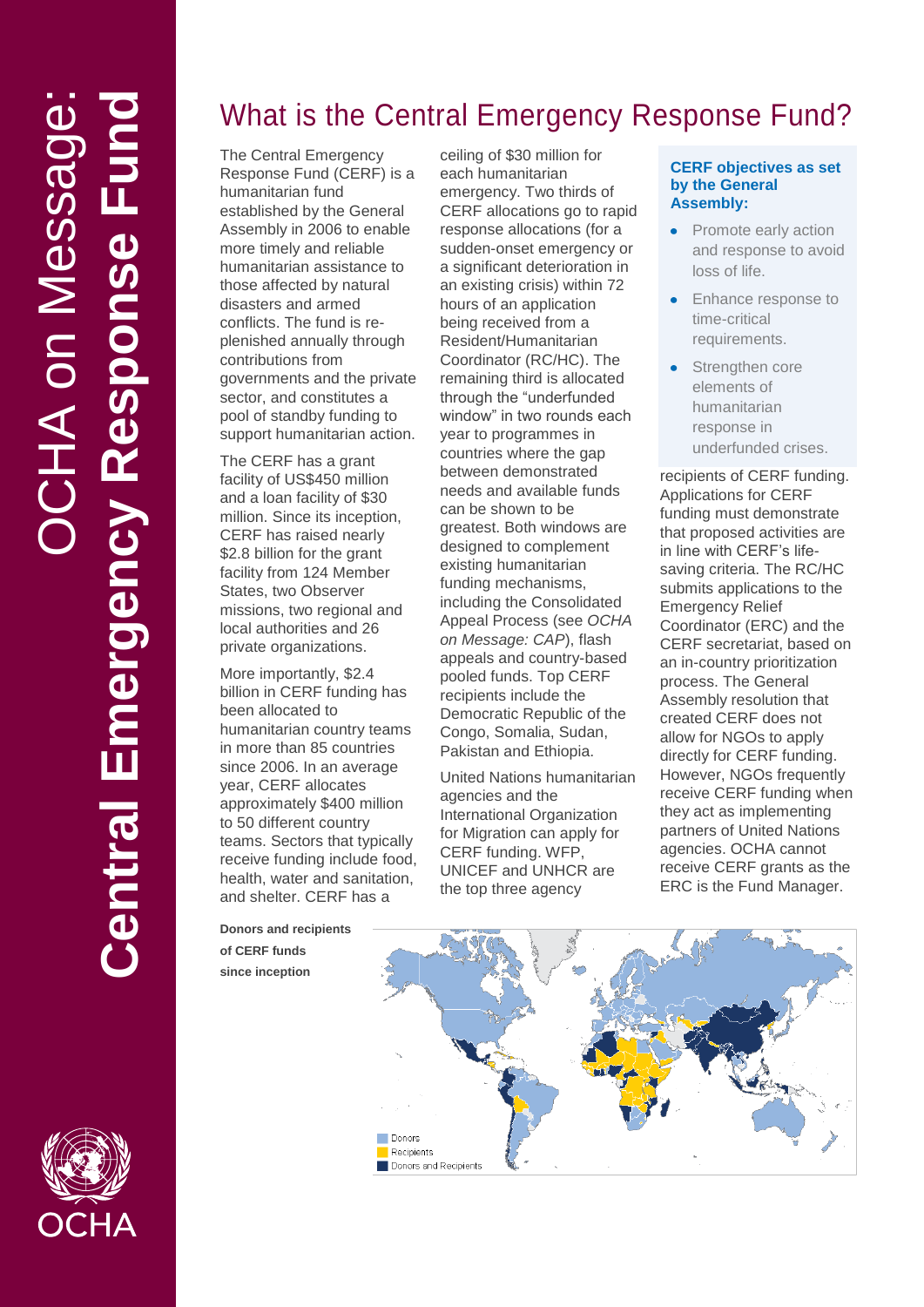# What is the Central Emergency Response Fund?

The Central Emergency Response Fund (CERF) is a humanitarian fund established by the General Assembly in 2006 to enable more timely and reliable humanitarian assistance to those affected by natural disasters and armed conflicts. The fund is replenished annually through contributions from governments and the private sector, and constitutes a pool of standby funding to support humanitarian action.

The CERF has a grant facility of US\$450 million and a loan facility of \$30 million. Since its inception, CERF has raised nearly \$2.8 billion for the grant facility from 124 Member States, two Observer missions, two regional and local authorities and 26 private organizations.

More importantly, \$2.4 billion in CERF funding has been allocated to humanitarian country teams in more than 85 countries since 2006. In an average year, CERF allocates approximately \$400 million to 50 different country teams. Sectors that typically receive funding include food, health, water and sanitation, and shelter. CERF has a

**Donors and recipients of CERF funds since inception**

ceiling of \$30 million for each humanitarian emergency. Two thirds of CERF allocations go to rapid response allocations (for a sudden-onset emergency or a significant deterioration in an existing crisis) within 72 hours of an application being received from a Resident/Humanitarian Coordinator (RC/HC). The remaining third is allocated through the "underfunded window" in two rounds each year to programmes in countries where the gap between demonstrated needs and available funds can be shown to be greatest. Both windows are designed to complement existing humanitarian funding mechanisms, including the Consolidated Appeal Process (see *OCHA on Message: CAP*), flash appeals and country-based pooled funds. Top CERF recipients include the Democratic Republic of the Congo, Somalia, Sudan, Pakistan and Ethiopia.

United Nations humanitarian agencies and the International Organization for Migration can apply for CERF funding. WFP, UNICEF and UNHCR are the top three agency

#### **CERF objectives as set by the General Assembly:**

- Promote early action and response to avoid loss of life.
- Enhance response to time-critical requirements.
- Strengthen core elements of humanitarian response in underfunded crises.

recipients of CERF funding. Applications for CERF funding must demonstrate that proposed activities are in line with CERF's lifesaving criteria. The RC/HC submits applications to the Emergency Relief Coordinator (ERC) and the CERF secretariat, based on an in-country prioritization process. The General Assembly resolution that created CERF does not allow for NGOs to apply directly for CERF funding. However, NGOs frequently receive CERF funding when they act as implementing partners of United Nations agencies. OCHA cannot receive CERF grants as the ERC is the Fund Manager.